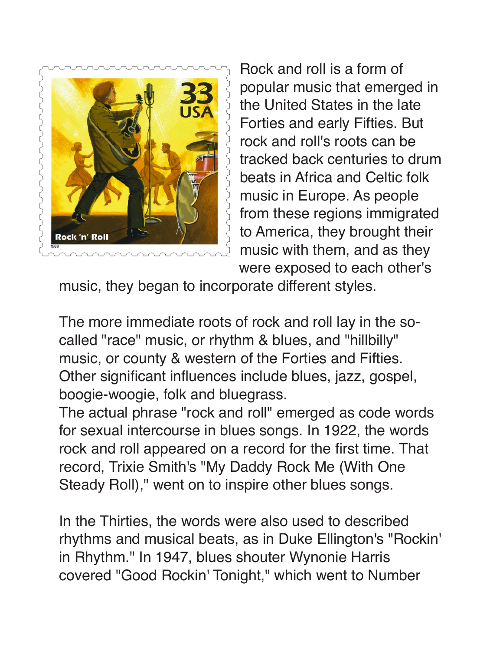

Rock and roll is a form of popular music that emerged in the United States in the late Forties and early Fifties. But rock and roll's roots can be tracked back centuries to drum beats in Africa and Celtic folk music in Europe. As people from these regions immigrated to America, they brought their music with them, and as they were exposed to each other's

music, they began to incorporate different styles.

The more immediate roots of rock and roll lay in the socalled "race" music, or rhythm & blues, and "hillbilly" music, or county & western of the Forties and Fifties. Other significant influences include blues, jazz, gospel, boogie-woogie, folk and bluegrass.

The actual phrase "rock and roll" emerged as code words for sexual intercourse in blues songs. In 1922, the words rock and roll appeared on a record for the first time. That record, Trixie Smith's "My Daddy Rock Me (With One Steady Roll)," went on to inspire other blues songs.

In the Thirties, the words were also used to described rhythms and musical beats, as in Duke Ellington's "Rockin' in Rhythm." In 1947, blues shouter Wynonie Harris covered "Good Rockin' Tonight," which went to Number